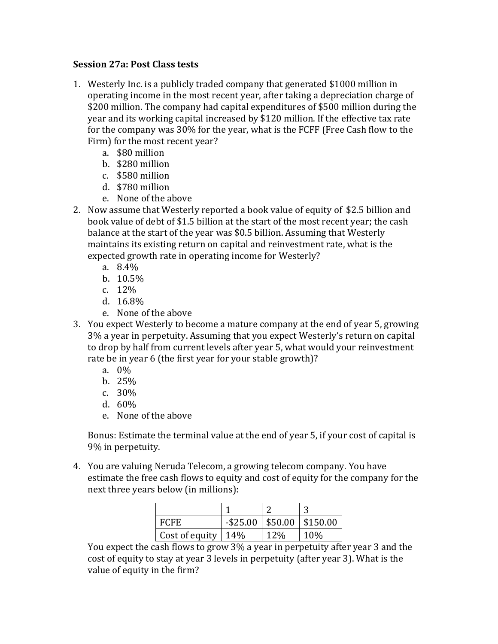## **Session 27a**: Post Class tests

- 1. Westerly Inc. is a publicly traded company that generated \$1000 million in operating income in the most recent year, after taking a depreciation charge of \$200 million. The company had capital expenditures of \$500 million during the year and its working capital increased by \$120 million. If the effective tax rate for the company was 30% for the year, what is the FCFF (Free Cash flow to the Firm) for the most recent year?
	- a. \$80 million
	- b. \$280 million
	- c. \$580 million
	- d. \$780 million
	- e. None of the above
- 2. Now assume that Westerly reported a book value of equity of \$2.5 billion and book value of debt of \$1.5 billion at the start of the most recent year; the cash balance at the start of the year was \$0.5 billion. Assuming that Westerly maintains its existing return on capital and reinvestment rate, what is the expected growth rate in operating income for Westerly?
	- a. 8.4%
	- b. 10.5%
	- c. 12%
	- d. 16.8%
	- e. None of the above
- 3. You expect Westerly to become a mature company at the end of year 5, growing 3% a year in perpetuity. Assuming that you expect Westerly's return on capital to drop by half from current levels after year 5, what would your reinvestment rate be in year 6 (the first year for your stable growth)?
	- a. 0%
	- b. 25%
	- c. 30%
	- d. 60%
	- e. None of the above

Bonus: Estimate the terminal value at the end of year 5, if your cost of capital is 9% in perpetuity.

4. You are valuing Neruda Telecom, a growing telecom company. You have estimate the free cash flows to equity and cost of equity for the company for the next three years below (in millions):

| <b>FCFE</b>    |     |     | $-$ \$25.00   \$50.00   \$150.00 |
|----------------|-----|-----|----------------------------------|
| Cost of equity | 14% | 12% | 10%                              |

You expect the cash flows to grow 3% a year in perpetuity after year 3 and the cost of equity to stay at year 3 levels in perpetuity (after year 3). What is the value of equity in the firm?